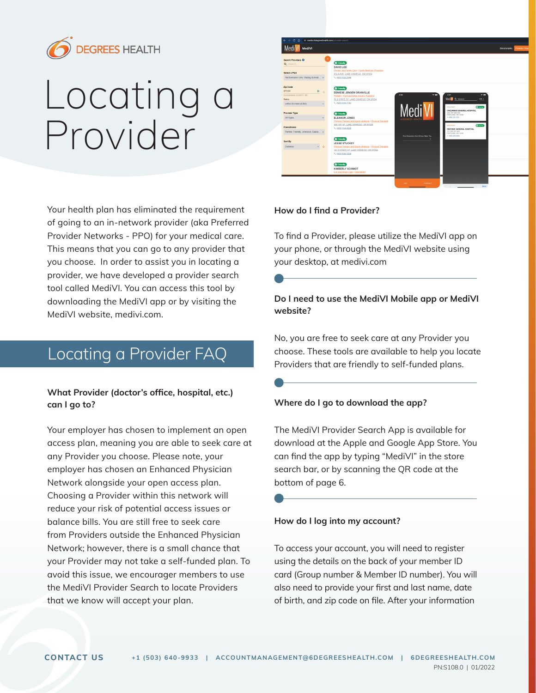

# Locating a Provider

Your health plan has eliminated the requirement of going to an in-network provider (aka Preferred Provider Networks - PPO) for your medical care. This means that you can go to any provider that you choose. In order to assist you in locating a provider, we have developed a provider search tool called MediVI. You can access this tool by downloading the MediVI app or by visiting the MediVI website, medivi.com.

# Locating a Provider FAQ

#### What Provider (doctor's office, hospital, etc.) can I go to?

Your employer has chosen to implement an open access plan, meaning you are able to seek care at any Provider you choose. Please note, your employer has chosen an Enhanced Physician Network alongside your open access plan. Choosing a Provider within this network will reduce your risk of potential access issues or balance bills. You are still free to seek care from Providers outside the Enhanced Physician Network; however, there is a small chance that your Provider may not take a self-funded plan. To avoid this issue, we encourager members to use the MediVI Provider Search to locate Providers that we know will accept your plan.



#### How do I find a Provider?

To find a Provider, please utilize the MediVI app on your phone, or through the MediVI website using your desktop, at medivi.com

## Do I need to use the MediVI Mobile app or MediVI website?

No, you are free to seek care at any Provider you choose. These tools are available to help you locate Providers that are friendly to self-funded plans.

#### Where do I go to download the app?

The MediVI Provider Search App is available for download at the Apple and Google App Store. You can find the app by typing "MediVI" in the store search bar, or by scanning the QR code at the bottom of page 6.

#### How do I log into my account?

To access your account, you will need to register using the details on the back of your member ID card (Group number & Member ID number). You will also need to provide your first and last name, date of birth, and zip code on file. After your information